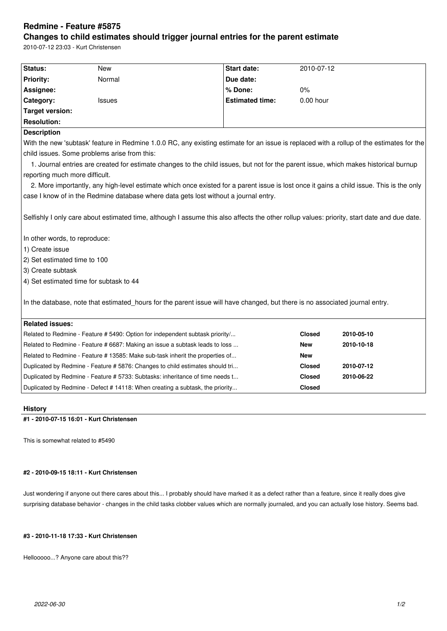# **Redmine - Feature #5875**

## **Changes to child estimates should trigger journal entries for the parent estimate**

2010-07-12 23:03 - Kurt Christensen

| Status:                                                                                                                                                                      | <b>New</b>                                                                    | <b>Start date:</b>     | 2010-07-12    |            |
|------------------------------------------------------------------------------------------------------------------------------------------------------------------------------|-------------------------------------------------------------------------------|------------------------|---------------|------------|
| <b>Priority:</b>                                                                                                                                                             | Normal                                                                        | Due date:              |               |            |
| Assignee:                                                                                                                                                                    |                                                                               | % Done:                | 0%            |            |
| Category:                                                                                                                                                                    | <b>Issues</b>                                                                 | <b>Estimated time:</b> | 0.00 hour     |            |
| <b>Target version:</b>                                                                                                                                                       |                                                                               |                        |               |            |
| <b>Resolution:</b>                                                                                                                                                           |                                                                               |                        |               |            |
| <b>Description</b>                                                                                                                                                           |                                                                               |                        |               |            |
| With the new 'subtask' feature in Redmine 1.0.0 RC, any existing estimate for an issue is replaced with a rollup of the estimates for the                                    |                                                                               |                        |               |            |
| child issues. Some problems arise from this:                                                                                                                                 |                                                                               |                        |               |            |
| 1. Journal entries are created for estimate changes to the child issues, but not for the parent issue, which makes historical burnup                                         |                                                                               |                        |               |            |
| reporting much more difficult.                                                                                                                                               |                                                                               |                        |               |            |
| 2. More importantly, any high-level estimate which once existed for a parent issue is lost once it gains a child issue. This is the only                                     |                                                                               |                        |               |            |
| case I know of in the Redmine database where data gets lost without a journal entry.                                                                                         |                                                                               |                        |               |            |
| Selfishly I only care about estimated time, although I assume this also affects the other rollup values: priority, start date and due date.<br>In other words, to reproduce: |                                                                               |                        |               |            |
| 1) Create issue                                                                                                                                                              |                                                                               |                        |               |            |
| 2) Set estimated time to 100                                                                                                                                                 |                                                                               |                        |               |            |
| 3) Create subtask                                                                                                                                                            |                                                                               |                        |               |            |
| 4) Set estimated time for subtask to 44                                                                                                                                      |                                                                               |                        |               |            |
| In the database, note that estimated_hours for the parent issue will have changed, but there is no associated journal entry.                                                 |                                                                               |                        |               |            |
| <b>Related issues:</b>                                                                                                                                                       |                                                                               |                        |               |            |
| Related to Redmine - Feature # 5490: Option for independent subtask priority/                                                                                                |                                                                               | <b>Closed</b>          | 2010-05-10    |            |
| Related to Redmine - Feature # 6687: Making an issue a subtask leads to loss                                                                                                 |                                                                               | <b>New</b>             | 2010-10-18    |            |
|                                                                                                                                                                              | Related to Redmine - Feature # 13585: Make sub-task inherit the properties of |                        | <b>New</b>    |            |
|                                                                                                                                                                              | Duplicated by Redmine - Feature # 5876: Changes to child estimates should tri |                        | <b>Closed</b> | 2010-07-12 |
|                                                                                                                                                                              | Duplicated by Redmine - Feature # 5733: Subtasks: inheritance of time needs t |                        | <b>Closed</b> | 2010-06-22 |
| Duplicated by Redmine - Defect # 14118: When creating a subtask, the priority                                                                                                |                                                                               | <b>Closed</b>          |               |            |
|                                                                                                                                                                              |                                                                               |                        |               |            |

### **History**

**#1 - 2010-07-15 16:01 - Kurt Christensen**

This is somewhat related to #5490

## **#2 - 2010-09-15 18:11 - Kurt Christensen**

Just wondering if anyone out there cares about this... I probably should have marked it as a defect rather than a feature, since it really does give surprising database behavior - changes in the child tasks clobber values which are normally journaled, and you can actually lose history. Seems bad.

### **#3 - 2010-11-18 17:33 - Kurt Christensen**

Hellooooo...? Anyone care about this??